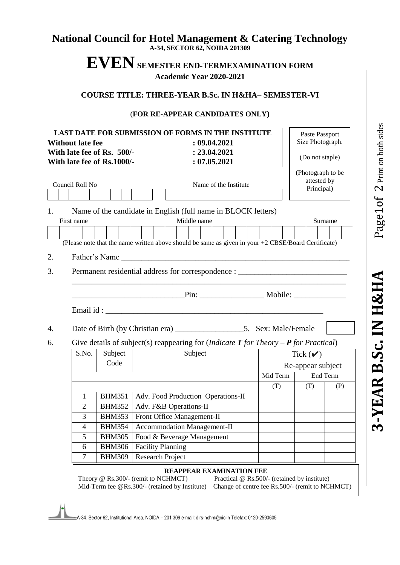## **National Council for Hotel Management & Catering Technology A-34, SECTOR 62, NOIDA 201309**

# **EVENSEMESTER END-TERMEXAMINATION FORM Academic Year 2020-2021**

#### **COURSE TITLE: THREE-YEAR B.Sc. IN H&HA– SEMESTER-VI**

#### (**FOR RE-APPEAR CANDIDATES ONLY)**

| <b>Without late fee</b><br>With late fee of Rs. 500/-<br>With late fee of Rs.1000/-<br>Council Roll No<br>1.<br>First name | LAST DATE FOR SUBMISSION OF FORMS IN THE INSTITUTE<br>: 09.04.2021<br>: 23.04.2021<br>: 07.05.2021<br>Name of the Institute<br>Name of the candidate in English (full name in BLOCK letters)<br>Middle name<br>(Please note that the name written above should be same as given in your +2 CBSE/Board Certificate) |                                                                                                 | Paste Passport<br>Size Photograph.<br>(Do not staple)<br>(Photograph to be<br>attested by<br>Principal) | Surname |
|----------------------------------------------------------------------------------------------------------------------------|--------------------------------------------------------------------------------------------------------------------------------------------------------------------------------------------------------------------------------------------------------------------------------------------------------------------|-------------------------------------------------------------------------------------------------|---------------------------------------------------------------------------------------------------------|---------|
| 2.                                                                                                                         | Father's Name                                                                                                                                                                                                                                                                                                      |                                                                                                 |                                                                                                         |         |
| 3.                                                                                                                         | Permanent residential address for correspondence : _____________________________                                                                                                                                                                                                                                   |                                                                                                 |                                                                                                         |         |
|                                                                                                                            | <b>Example 2018</b> Pin: Mobile:                                                                                                                                                                                                                                                                                   |                                                                                                 |                                                                                                         |         |
| 4.                                                                                                                         |                                                                                                                                                                                                                                                                                                                    |                                                                                                 |                                                                                                         |         |
| 6.                                                                                                                         | Give details of subject(s) reappearing for ( <i>Indicate <b>T</b> for Theory <math>-P</math> for Practical</i> )                                                                                                                                                                                                   |                                                                                                 |                                                                                                         |         |
| Subject<br>S.No.                                                                                                           | Subject                                                                                                                                                                                                                                                                                                            |                                                                                                 | Tick $(\vee)$                                                                                           |         |
| Code                                                                                                                       |                                                                                                                                                                                                                                                                                                                    |                                                                                                 | Re-appear subject                                                                                       |         |
|                                                                                                                            |                                                                                                                                                                                                                                                                                                                    |                                                                                                 | End Term<br>Mid Term                                                                                    |         |
|                                                                                                                            |                                                                                                                                                                                                                                                                                                                    | (T)                                                                                             | (T)                                                                                                     | (P)     |
| <b>BHM351</b><br>1                                                                                                         | Adv. Food Production Operations-II                                                                                                                                                                                                                                                                                 |                                                                                                 |                                                                                                         |         |
| <b>BHM352</b><br>$\overline{2}$                                                                                            | Adv. F&B Operations-II                                                                                                                                                                                                                                                                                             |                                                                                                 |                                                                                                         |         |
| 3<br><b>BHM353</b>                                                                                                         | Front Office Management-II                                                                                                                                                                                                                                                                                         |                                                                                                 |                                                                                                         |         |
| $\overline{4}$<br><b>BHM354</b>                                                                                            |                                                                                                                                                                                                                                                                                                                    | Accommodation Management-II                                                                     |                                                                                                         |         |
| 5<br><b>BHM305</b>                                                                                                         |                                                                                                                                                                                                                                                                                                                    | Food & Beverage Management                                                                      |                                                                                                         |         |
| 6<br><b>BHM306</b>                                                                                                         | <b>Facility Planning</b>                                                                                                                                                                                                                                                                                           |                                                                                                 |                                                                                                         |         |
| $\overline{7}$<br><b>BHM309</b>                                                                                            | Research Project                                                                                                                                                                                                                                                                                                   |                                                                                                 |                                                                                                         |         |
|                                                                                                                            | REAPPEAR EXAMINATION FEE<br>Theory @ Rs.300/- (remit to NCHMCT)<br>Mid-Term fee @Rs.300/- (retained by Institute)                                                                                                                                                                                                  | Practical @ Rs.500/- (retained by institute)<br>Change of centre fee Rs.500/- (remit to NCHMCT) |                                                                                                         |         |

A-34, Sector-62, Institutional Area, NOIDA – 201 309 e-mail: dirs-nchm@nic.in Telefax: 0120-2590605

Page1of 2 Print on both sides  $1$  Of  $\,2$  Print on both sides

**3-YEAR B.Sc. IN H&HA** Page